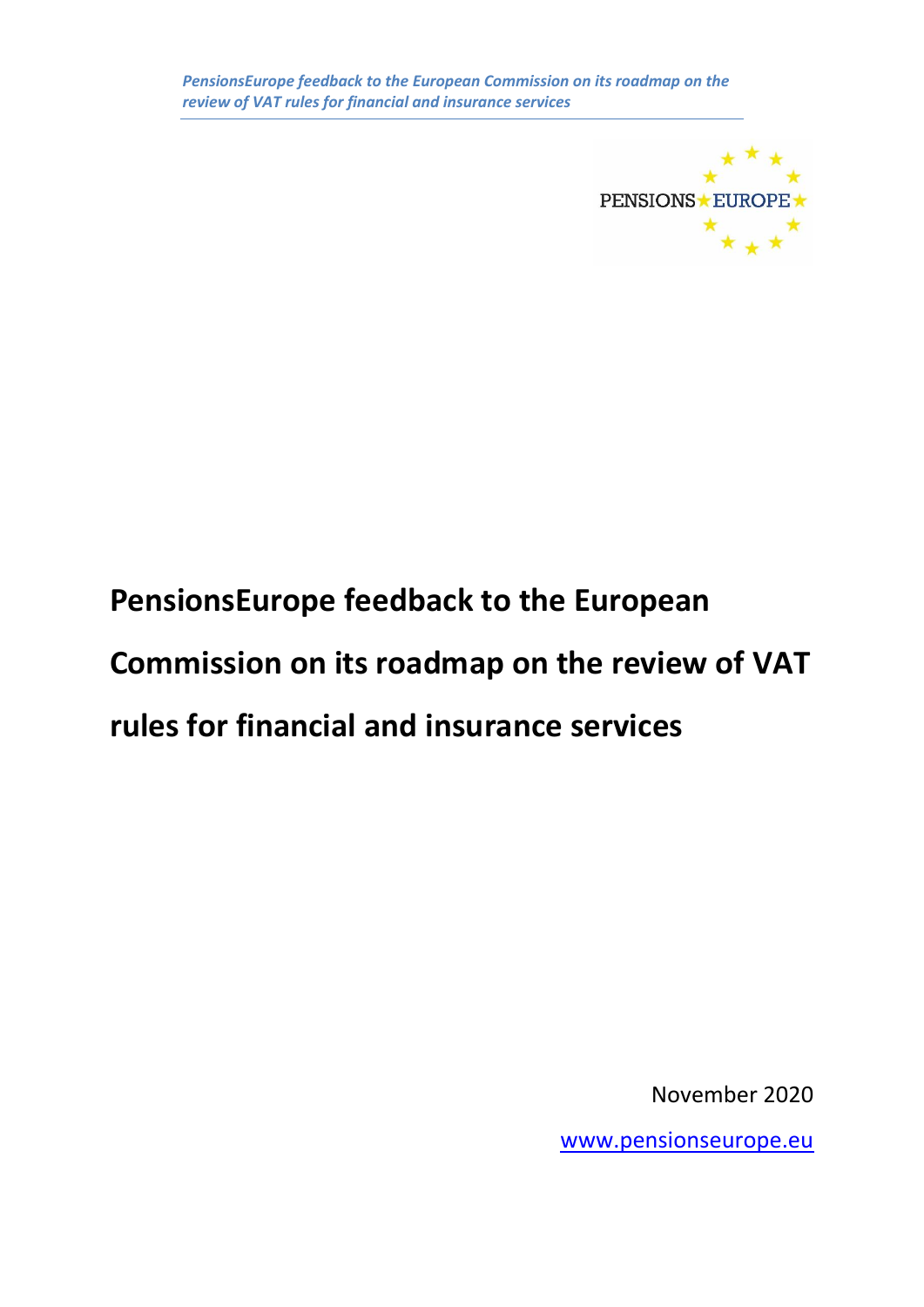

# **PensionsEurope feedback to the European Commission on its roadmap on the review of VAT rules for financial and insurance services**

November 2020

[www.pensionseurope.eu](http://www.pensionseurope.eu/)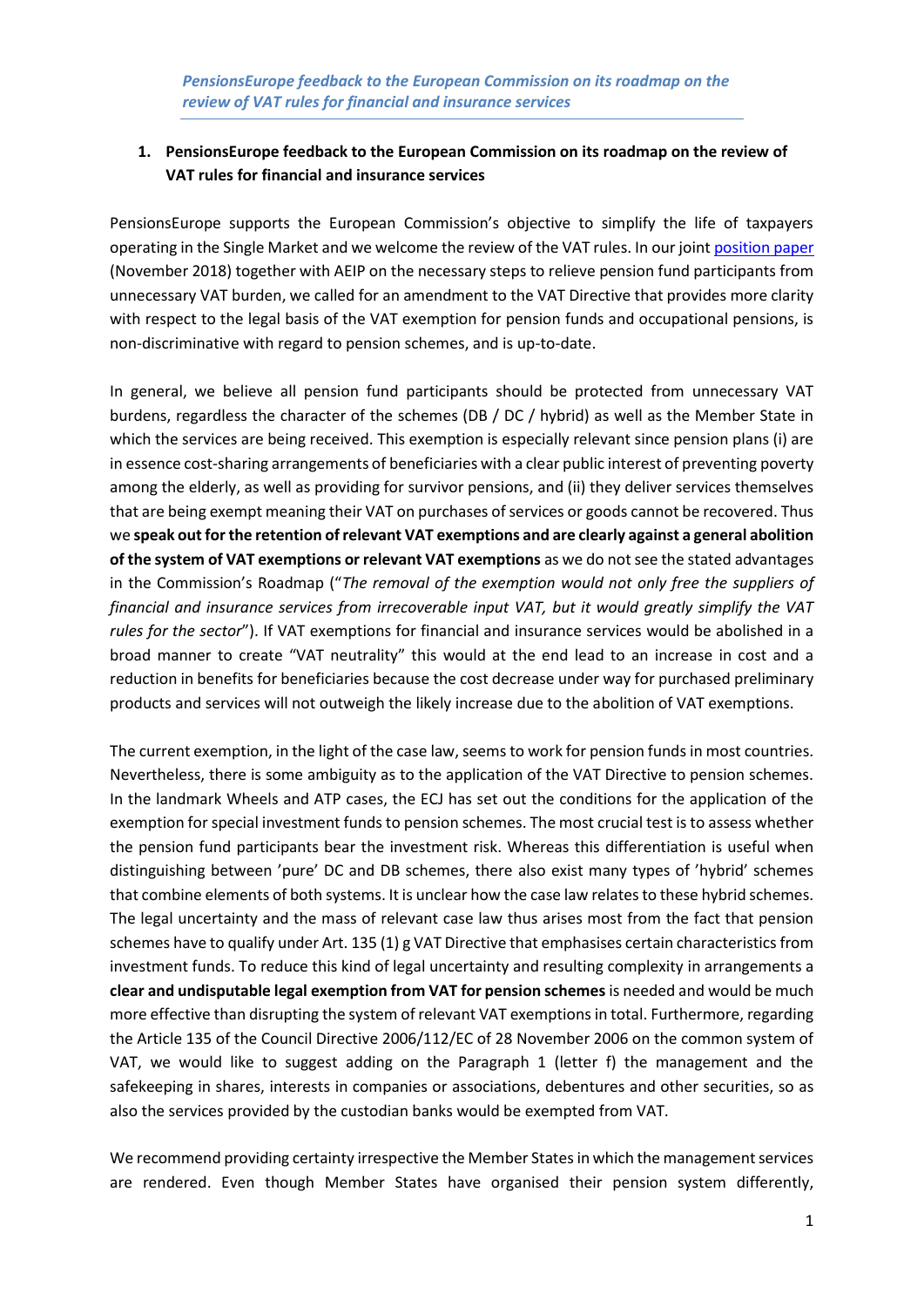## **1. PensionsEurope feedback to the European Commission on its roadmap on the review of VAT rules for financial and insurance services**

PensionsEurope supports the European Commission's objective to simplify the life of taxpayers operating in the Single Market and we welcome the review of the VAT rules. In our joint [position paper](https://www.pensionseurope.eu/system/files/Position%20paper%20VAT%20Directive%20Final.pdf) (November 2018) together with AEIP on the necessary steps to relieve pension fund participants from unnecessary VAT burden, we called for an amendment to the VAT Directive that provides more clarity with respect to the legal basis of the VAT exemption for pension funds and occupational pensions, is non-discriminative with regard to pension schemes, and is up-to-date.

In general, we believe all pension fund participants should be protected from unnecessary VAT burdens, regardless the character of the schemes (DB / DC / hybrid) as well as the Member State in which the services are being received. This exemption is especially relevant since pension plans (i) are in essence cost-sharing arrangements of beneficiaries with a clear public interest of preventing poverty among the elderly, as well as providing for survivor pensions, and (ii) they deliver services themselves that are being exempt meaning their VAT on purchases of services or goods cannot be recovered. Thus we **speak out for the retention of relevant VAT exemptions and are clearly against a general abolition of the system of VAT exemptions or relevant VAT exemptions** as we do not see the stated advantages in the Commission's Roadmap ("*The removal of the exemption would not only free the suppliers of financial and insurance services from irrecoverable input VAT, but it would greatly simplify the VAT rules for the sector*"). If VAT exemptions for financial and insurance services would be abolished in a broad manner to create "VAT neutrality" this would at the end lead to an increase in cost and a reduction in benefits for beneficiaries because the cost decrease under way for purchased preliminary products and services will not outweigh the likely increase due to the abolition of VAT exemptions.

The current exemption, in the light of the case law, seems to work for pension funds in most countries. Nevertheless, there is some ambiguity as to the application of the VAT Directive to pension schemes. In the landmark Wheels and ATP cases, the ECJ has set out the conditions for the application of the exemption for special investment funds to pension schemes. The most crucial test is to assess whether the pension fund participants bear the investment risk. Whereas this differentiation is useful when distinguishing between 'pure' DC and DB schemes, there also exist many types of 'hybrid' schemes that combine elements of both systems. It is unclear how the case law relates to these hybrid schemes. The legal uncertainty and the mass of relevant case law thus arises most from the fact that pension schemes have to qualify under Art. 135 (1) g VAT Directive that emphasises certain characteristics from investment funds. To reduce this kind of legal uncertainty and resulting complexity in arrangements a **clear and undisputable legal exemption from VAT for pension schemes** is needed and would be much more effective than disrupting the system of relevant VAT exemptions in total. Furthermore, regarding the Article 135 of the Council Directive 2006/112/EC of 28 November 2006 on the common system of VAT, we would like to suggest adding on the Paragraph 1 (letter f) the management and the safekeeping in shares, interests in companies or associations, debentures and other securities, so as also the services provided by the custodian banks would be exempted from VAT.

We recommend providing certainty irrespective the Member States in which the management services are rendered. Even though Member States have organised their pension system differently,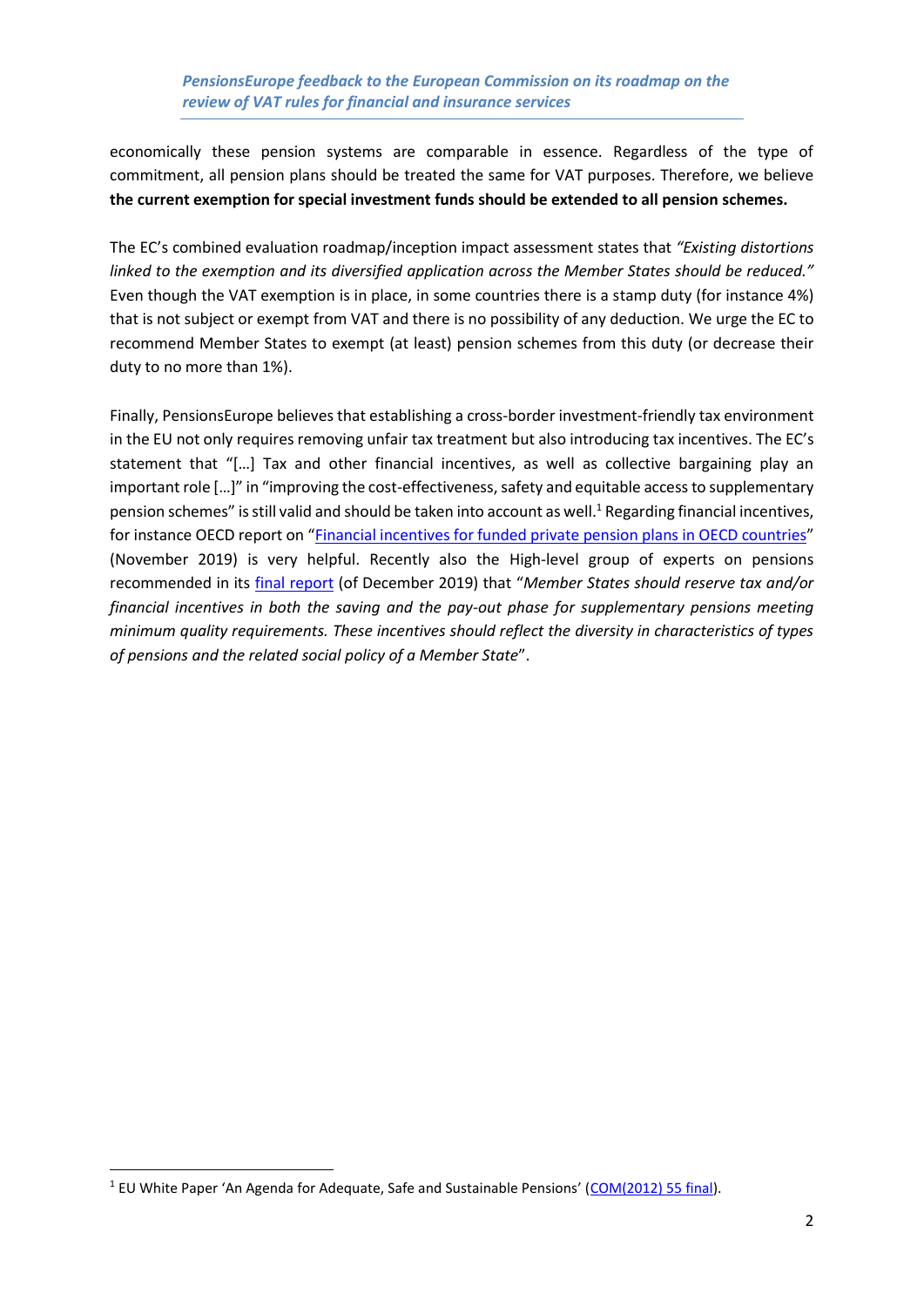#### *PensionsEurope feedback to the European Commission on its roadmap on the review of VAT rules for financial and insurance services*

economically these pension systems are comparable in essence. Regardless of the type of commitment, all pension plans should be treated the same for VAT purposes. Therefore, we believe **the current exemption for special investment funds should be extended to all pension schemes.**

The EC's combined evaluation roadmap/inception impact assessment states that *"Existing distortions linked to the exemption and its diversified application across the Member States should be reduced."* Even though the VAT exemption is in place, in some countries there is a stamp duty (for instance 4%) that is not subject or exempt from VAT and there is no possibility of any deduction. We urge the EC to recommend Member States to exempt (at least) pension schemes from this duty (or decrease their duty to no more than 1%).

Finally, PensionsEurope believes that establishing a cross-border investment-friendly tax environment in the EU not only requires removing unfair tax treatment but also introducing tax incentives. The EC's statement that "[…] Tax and other financial incentives, as well as collective bargaining play an important role […]" in "improving the cost-effectiveness, safety and equitable access to supplementary pension schemes" is still valid and should be taken into account as well.<sup>1</sup> Regarding financial incentives, for instance OECD report on "[Financial incentives for funded private pension plans in OECD countries](https://www.oecd.org/finance/private-pensions/Financial-Incentives-for-Funded-Pension-Plans-in-OECD-Countries-2019.pdf)" (November 2019) is very helpful. Recently also the High-level group of experts on pensions recommended in its [final report](https://ec.europa.eu/transparency/regexpert/index.cfm?do=groupDetail.groupMeetingDoc&docid=38547) (of December 2019) that "*Member States should reserve tax and/or financial incentives in both the saving and the pay-out phase for supplementary pensions meeting minimum quality requirements. These incentives should reflect the diversity in characteristics of types of pensions and the related social policy of a Member State*".

<sup>&</sup>lt;sup>1</sup> EU White Paper 'An Agenda for Adequate, Safe and Sustainable Pensions' ([COM\(2012\) 55 final\)](eur-lex.europa.eu/LexUriServ/LexUriServ.do?uri=COM:2012:0055:FIN:EN:PDF).